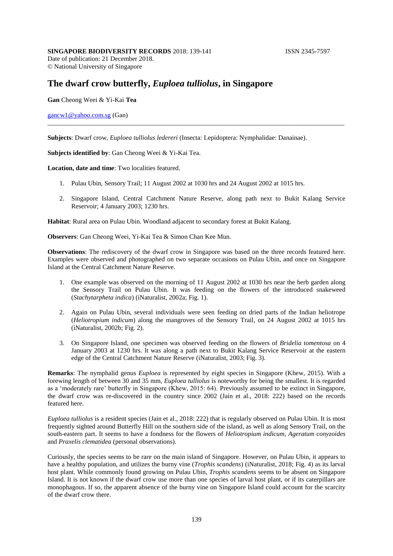# **SINGAPORE BIODIVERSITY RECORDS** 2018: 139-141 **ISSN 2345-7597**

Date of publication: 21 December 2018. © National University of Singapore

# **The dwarf crow butterfly,** *Euploea tulliolus***, in Singapore**

### **Gan** Cheong Weei & Yi-Kai **Tea**

# [gancw1@yahoo.com.sg](mailto:gancw1@yahoo.com.sg) (Gan)

**Subjects**: Dwarf crow, *Euploea tulliolus ledereri* (Insecta: Lepidoptera: Nymphalidae: Danainae).

\_\_\_\_\_\_\_\_\_\_\_\_\_\_\_\_\_\_\_\_\_\_\_\_\_\_\_\_\_\_\_\_\_\_\_\_\_\_\_\_\_\_\_\_\_\_\_\_\_\_\_\_\_\_\_\_\_\_\_\_\_\_\_\_\_\_\_\_\_\_\_\_\_\_\_\_\_\_\_\_\_\_\_\_\_\_\_\_\_\_

**Subjects identified by**: Gan Cheong Weei & Yi-Kai Tea.

**Location, date and time**: Two localities featured.

- 1. Pulau Ubin, Sensory Trail; 11 August 2002 at 1030 hrs and 24 August 2002 at 1015 hrs.
- 2. Singapore Island, Central Catchment Nature Reserve, along path next to Bukit Kalang Service Reservoir; 4 January 2003; 1230 hrs.

**Habitat**: Rural area on Pulau Ubin. Woodland adjacent to secondary forest at Bukit Kalang.

**Observers**: Gan Cheong Weei, Yi-Kai Tea & Simon Chan Kee Mun.

**Observations**: The rediscovery of the dwarf crow in Singapore was based on the three records featured here. Examples were observed and photographed on two separate occasions on Pulau Ubin, and once on Singapore Island at the Central Catchment Nature Reserve.

- 1. One example was observed on the morning of 11 August 2002 at 1030 hrs near the herb garden along the Sensory Trail on Pulau Ubin. It was feeding on the flowers of the introduced snakeweed (*Stachytarpheta indica*) (iNaturalist, 2002a; Fig. 1).
- 2. Again on Pulau Ubin, several individuals were seen feeding on dried parts of the Indian heliotrope (*Heliotropium indicum*) along the mangroves of the Sensory Trail, on 24 August 2002 at 1015 hrs (iNaturalist, 2002b; Fig. 2).
- 3. On Singapore Island, one specimen was observed feeding on the flowers of *Bridelia tomentosa* on 4 January 2003 at 1230 hrs. It was along a path next to Bukit Kalang Service Reservoir at the eastern edge of the Central Catchment Nature Reserve (iNaturalist, 2003; Fig. 3).

**Remarks**: The nymphalid genus *Euploea* is represented by eight species in Singapore (Khew, 2015). With a forewing length of between 30 and 35 mm, *Euploea tulliolus* is noteworthy for being the smallest. It is regarded as a 'moderately rare' butterfly in Singapore (Khew, 2015: 64). Previously assumed to be extinct in Singapore, the dwarf crow was re-discovered in the country since 2002 (Jain et al., 2018: 222) based on the records featured here.

*Euploea tulliolus* is a resident species (Jain et al., 2018: 222) that is regularly observed on Pulau Ubin. It is most frequently sighted around Butterfly Hill on the southern side of the island, as well as along Sensory Trail, on the south-eastern part. It seems to have a fondness for the flowers of *Heliotropium indicum*, *Ageratum conyzoides* and *Praxelis clematidea* (personal observations).

Curiously, the species seems to be rare on the main island of Singapore. However, on Pulau Ubin, it appears to have a healthy population, and utilizes the burny vine (*Trophis scandens*) (iNaturalist, 2018; Fig. 4) as its larval host plant. While commonly found growing on Pulau Ubin, *Trophis scandens* seems to be absent on Singapore Island. It is not known if the dwarf crow use more than one species of larval host plant, or if its caterpillars are monophagous. If so, the apparent absence of the burny vine on Singapore Island could account for the scarcity of the dwarf crow there.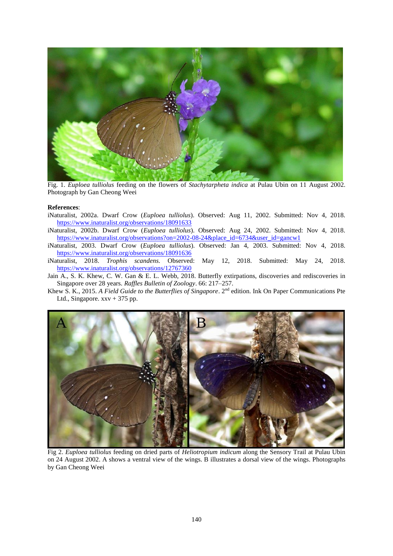

Fig. 1. *Euploea tulliolus* feeding on the flowers of *Stachytarpheta indica* at Pulau Ubin on 11 August 2002. Photograph by Gan Cheong Weei

#### **References**:

- iNaturalist, 2002a. Dwarf Crow (*Euploea tulliolus*). Observed: Aug 11, 2002. Submitted: Nov 4, 2018. <https://www.inaturalist.org/observations/18091633>
- iNaturalist, 2002b. Dwarf Crow (*Euploea tulliolus*). Observed: Aug 24, 2002. Submitted: Nov 4, 2018. [https://www.inaturalist.org/observations?on=2002-08-24&place\\_id=6734&user\\_id=gancw1](https://www.inaturalist.org/observations?on=2002-08-24&place_id=6734&user_id=gancw1)
- iNaturalist, 2003. Dwarf Crow (*Euploea tulliolus*). Observed: Jan 4, 2003. Submitted: Nov 4, 2018. <https://www.inaturalist.org/observations/18091636>
- iNaturalist, 2018. *Trophis scandens.* Observed: May 12, 2018. Submitted: May 24, 2018. https://www.inaturalist.org/observations/12767360
- Jain A., S. K. Khew, C. W. Gan & E. L. Webb, 2018. Butterfly extirpations, discoveries and rediscoveries in Singapore over 28 years. *Raffles Bulletin of Zoology*. 66: 217–257.
- Khew S. K., 2015. *A Field Guide to the Butterflies of Singapore*. 2nd edition. Ink On Paper Communications Pte Ltd., Singapore. xxv + 375 pp.



Fig 2. *Euploea tulliolus* feeding on dried parts of *Heliotropium indicum* along the Sensory Trail at Pulau Ubin on 24 August 2002. A shows a ventral view of the wings. B illustrates a dorsal view of the wings. Photographs by Gan Cheong Weei